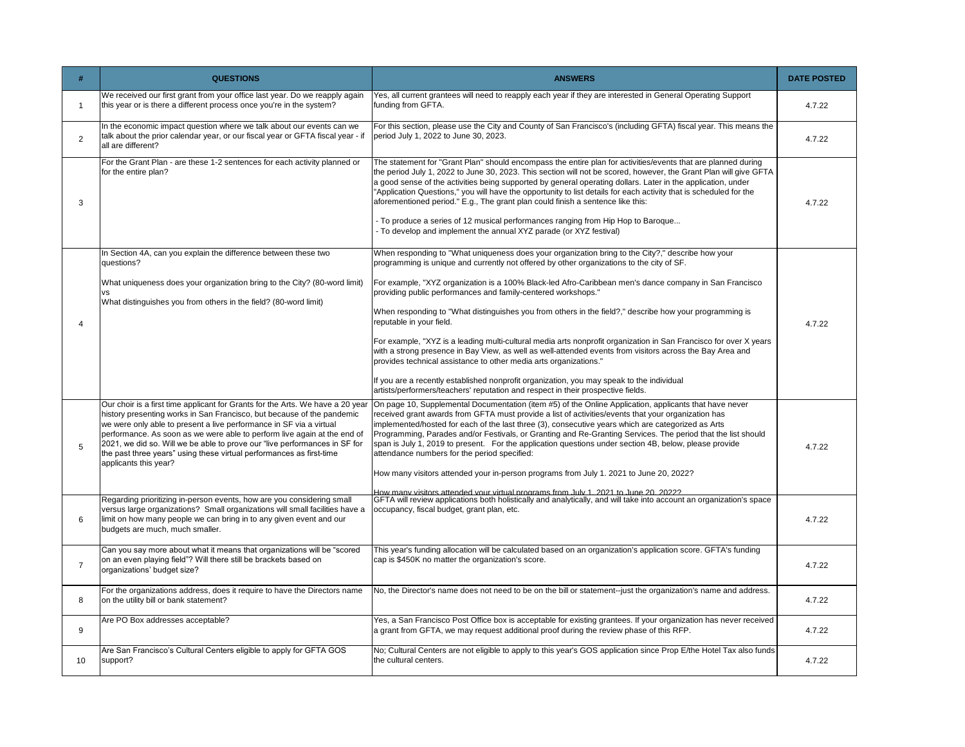| #              | <b>QUESTIONS</b>                                                                                                                                                                                                                                                                                                                                                                                         | <b>ANSWERS</b>                                                                                                                                                                                                                                                                                                                                                                                                                                                                                                                                                                                                                                                                                                                                                                                                                                                                                                                                                                                           | <b>DATE POSTED</b> |
|----------------|----------------------------------------------------------------------------------------------------------------------------------------------------------------------------------------------------------------------------------------------------------------------------------------------------------------------------------------------------------------------------------------------------------|----------------------------------------------------------------------------------------------------------------------------------------------------------------------------------------------------------------------------------------------------------------------------------------------------------------------------------------------------------------------------------------------------------------------------------------------------------------------------------------------------------------------------------------------------------------------------------------------------------------------------------------------------------------------------------------------------------------------------------------------------------------------------------------------------------------------------------------------------------------------------------------------------------------------------------------------------------------------------------------------------------|--------------------|
| -1             | We received our first grant from your office last year. Do we reapply again<br>this year or is there a different process once you're in the system?                                                                                                                                                                                                                                                      | Yes, all current grantees will need to reapply each year if they are interested in General Operating Support<br>funding from GFTA.                                                                                                                                                                                                                                                                                                                                                                                                                                                                                                                                                                                                                                                                                                                                                                                                                                                                       | 4.7.22             |
| $\overline{2}$ | In the economic impact question where we talk about our events can we<br>talk about the prior calendar year, or our fiscal year or GFTA fiscal year - if<br>all are different?                                                                                                                                                                                                                           | For this section, please use the City and County of San Francisco's (including GFTA) fiscal year. This means the<br>period July 1, 2022 to June 30, 2023.                                                                                                                                                                                                                                                                                                                                                                                                                                                                                                                                                                                                                                                                                                                                                                                                                                                | 4.7.22             |
| 3              | For the Grant Plan - are these 1-2 sentences for each activity planned or<br>for the entire plan?                                                                                                                                                                                                                                                                                                        | The statement for "Grant Plan" should encompass the entire plan for activities/events that are planned during<br>the period July 1, 2022 to June 30, 2023. This section will not be scored, however, the Grant Plan will give GFTA<br>a good sense of the activities being supported by general operating dollars. Later in the application, under<br>"Application Questions," you will have the opportunity to list details for each activity that is scheduled for the<br>aforementioned period." E.g., The grant plan could finish a sentence like this:<br>- To produce a series of 12 musical performances ranging from Hip Hop to Baroque<br>- To develop and implement the annual XYZ parade (or XYZ festival)                                                                                                                                                                                                                                                                                    | 4.7.22             |
| $\overline{4}$ | In Section 4A, can you explain the difference between these two<br>questions?<br>What uniqueness does your organization bring to the City? (80-word limit)<br><b>VS</b><br>What distinguishes you from others in the field? (80-word limit)                                                                                                                                                              | When responding to "What uniqueness does your organization bring to the City?," describe how your<br>programming is unique and currently not offered by other organizations to the city of SF.<br>For example, "XYZ organization is a 100% Black-led Afro-Caribbean men's dance company in San Francisco<br>providing public performances and family-centered workshops."<br>When responding to "What distinguishes you from others in the field?," describe how your programming is<br>reputable in your field.<br>For example, "XYZ is a leading multi-cultural media arts nonprofit organization in San Francisco for over X years<br>with a strong presence in Bay View, as well as well-attended events from visitors across the Bay Area and<br>provides technical assistance to other media arts organizations."<br>If you are a recently established nonprofit organization, you may speak to the individual<br>artists/performers/teachers' reputation and respect in their prospective fields. | 4.7.22             |
| 5              | history presenting works in San Francisco, but because of the pandemic<br>we were only able to present a live performance in SF via a virtual<br>performance. As soon as we were able to perform live again at the end of<br>2021, we did so. Will we be able to prove our "live performances in SF for<br>the past three years" using these virtual performances as first-time<br>applicants this year? | Our choir is a first time applicant for Grants for the Arts. We have a 20 year  On page 10, Supplemental Documentation (item #5) of the Online Application, applicants that have never<br>received grant awards from GFTA must provide a list of activities/events that your organization has<br>implemented/hosted for each of the last three (3), consecutive years which are categorized as Arts<br>Programming, Parades and/or Festivals, or Granting and Re-Granting Services. The period that the list should<br>span is July 1, 2019 to present. For the application questions under section 4B, below, please provide<br>attendance numbers for the period specified:<br>How many visitors attended your in-person programs from July 1. 2021 to June 20, 2022?<br>dow many visitors attended your virtual programs from July 1, 2021 to June 20, 20222                                                                                                                                          | 4.7.22             |
| 6              | Regarding prioritizing in-person events, how are you considering small<br>versus large organizations? Small organizations will small facilities have a<br>limit on how many people we can bring in to any given event and our<br>budgets are much, much smaller.                                                                                                                                         | GFTA will review applications both holistically and analytically, and will take into account an organization's space<br>occupancy, fiscal budget, grant plan, etc.                                                                                                                                                                                                                                                                                                                                                                                                                                                                                                                                                                                                                                                                                                                                                                                                                                       | 4.7.22             |
| $\overline{7}$ | Can you say more about what it means that organizations will be "scored<br>on an even playing field"? Will there still be brackets based on<br>organizations' budget size?                                                                                                                                                                                                                               | This year's funding allocation will be calculated based on an organization's application score. GFTA's funding<br>cap is \$450K no matter the organization's score.                                                                                                                                                                                                                                                                                                                                                                                                                                                                                                                                                                                                                                                                                                                                                                                                                                      | 4.7.22             |
| 8              | For the organizations address, does it require to have the Directors name<br>on the utility bill or bank statement?                                                                                                                                                                                                                                                                                      | No, the Director's name does not need to be on the bill or statement--just the organization's name and address.                                                                                                                                                                                                                                                                                                                                                                                                                                                                                                                                                                                                                                                                                                                                                                                                                                                                                          | 4.7.22             |
| 9              | Are PO Box addresses acceptable?                                                                                                                                                                                                                                                                                                                                                                         | Yes, a San Francisco Post Office box is acceptable for existing grantees. If your organization has never received<br>a grant from GFTA, we may request additional proof during the review phase of this RFP.                                                                                                                                                                                                                                                                                                                                                                                                                                                                                                                                                                                                                                                                                                                                                                                             | 4.7.22             |
| 10             | Are San Francisco's Cultural Centers eligible to apply for GFTA GOS<br>support?                                                                                                                                                                                                                                                                                                                          | No; Cultural Centers are not eligible to apply to this year's GOS application since Prop E/the Hotel Tax also funds<br>the cultural centers.                                                                                                                                                                                                                                                                                                                                                                                                                                                                                                                                                                                                                                                                                                                                                                                                                                                             | 4.7.22             |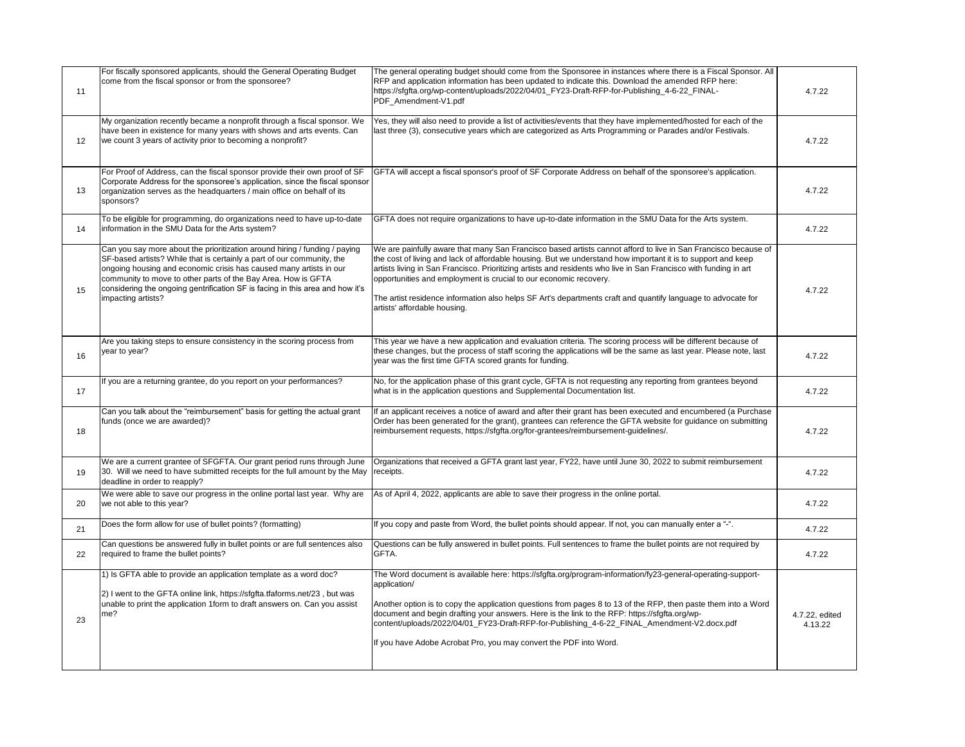| 11 | For fiscally sponsored applicants, should the General Operating Budget<br>come from the fiscal sponsor or from the sponsoree?                                                                                                                                                                                                                                                                      | The general operating budget should come from the Sponsoree in instances where there is a Fiscal Sponsor. All<br>RFP and application information has been updated to indicate this. Download the amended RFP here:<br>https://sfgfta.org/wp-content/uploads/2022/04/01_FY23-Draft-RFP-for-Publishing_4-6-22_FINAL-<br>PDF_Amendment-V1.pdf                                                                                                                                                                                                                               | 4.7.22                    |
|----|----------------------------------------------------------------------------------------------------------------------------------------------------------------------------------------------------------------------------------------------------------------------------------------------------------------------------------------------------------------------------------------------------|--------------------------------------------------------------------------------------------------------------------------------------------------------------------------------------------------------------------------------------------------------------------------------------------------------------------------------------------------------------------------------------------------------------------------------------------------------------------------------------------------------------------------------------------------------------------------|---------------------------|
| 12 | My organization recently became a nonprofit through a fiscal sponsor. We<br>have been in existence for many years with shows and arts events. Can<br>we count 3 years of activity prior to becoming a nonprofit?                                                                                                                                                                                   | Yes, they will also need to provide a list of activities/events that they have implemented/hosted for each of the<br>last three (3), consecutive years which are categorized as Arts Programming or Parades and/or Festivals.                                                                                                                                                                                                                                                                                                                                            | 4.7.22                    |
| 13 | For Proof of Address, can the fiscal sponsor provide their own proof of SF<br>Corporate Address for the sponsoree's application, since the fiscal sponsor<br>organization serves as the headquarters / main office on behalf of its<br>sponsors?                                                                                                                                                   | GFTA will accept a fiscal sponsor's proof of SF Corporate Address on behalf of the sponsoree's application.                                                                                                                                                                                                                                                                                                                                                                                                                                                              | 4.7.22                    |
| 14 | To be eligible for programming, do organizations need to have up-to-date<br>information in the SMU Data for the Arts system?                                                                                                                                                                                                                                                                       | GFTA does not require organizations to have up-to-date information in the SMU Data for the Arts system.                                                                                                                                                                                                                                                                                                                                                                                                                                                                  | 4.7.22                    |
| 15 | Can you say more about the prioritization around hiring / funding / paying<br>SF-based artists? While that is certainly a part of our community, the<br>ongoing housing and economic crisis has caused many artists in our<br>community to move to other parts of the Bay Area. How is GFTA<br>considering the ongoing gentrification SF is facing in this area and how it's<br>impacting artists? | We are painfully aware that many San Francisco based artists cannot afford to live in San Francisco because of<br>the cost of living and lack of affordable housing. But we understand how important it is to support and keep<br>artists living in San Francisco. Prioritizing artists and residents who live in San Francisco with funding in art<br>opportunities and employment is crucial to our economic recovery.<br>The artist residence information also helps SF Art's departments craft and quantify language to advocate for<br>artists' affordable housing. | 4.7.22                    |
| 16 | Are you taking steps to ensure consistency in the scoring process from<br>year to year?                                                                                                                                                                                                                                                                                                            | This year we have a new application and evaluation criteria. The scoring process will be different because of<br>these changes, but the process of staff scoring the applications will be the same as last year. Please note, last<br>year was the first time GFTA scored grants for funding.                                                                                                                                                                                                                                                                            | 4.7.22                    |
| 17 | If you are a returning grantee, do you report on your performances?                                                                                                                                                                                                                                                                                                                                | No, for the application phase of this grant cycle, GFTA is not requesting any reporting from grantees beyond<br>what is in the application questions and Supplemental Documentation list.                                                                                                                                                                                                                                                                                                                                                                                | 4.7.22                    |
| 18 | Can you talk about the "reimbursement" basis for getting the actual grant<br>funds (once we are awarded)?                                                                                                                                                                                                                                                                                          | If an applicant receives a notice of award and after their grant has been executed and encumbered (a Purchase<br>Order has been generated for the grant), grantees can reference the GFTA website for guidance on submitting<br>reimbursement requests, https://sfgfta.org/for-grantees/reimbursement-guidelines/.                                                                                                                                                                                                                                                       | 4.7.22                    |
| 19 | We are a current grantee of SFGFTA. Our grant period runs through June<br>30. Will we need to have submitted receipts for the full amount by the May<br>deadline in order to reapply?                                                                                                                                                                                                              | Organizations that received a GFTA grant last year, FY22, have until June 30, 2022 to submit reimbursement<br>receipts.                                                                                                                                                                                                                                                                                                                                                                                                                                                  | 4.7.22                    |
| 20 | We were able to save our progress in the online portal last year. Why are<br>we not able to this year?                                                                                                                                                                                                                                                                                             | As of April 4, 2022, applicants are able to save their progress in the online portal.                                                                                                                                                                                                                                                                                                                                                                                                                                                                                    | 4.7.22                    |
| 21 | Does the form allow for use of bullet points? (formatting)                                                                                                                                                                                                                                                                                                                                         | If you copy and paste from Word, the bullet points should appear. If not, you can manually enter a "-".                                                                                                                                                                                                                                                                                                                                                                                                                                                                  | 4.7.22                    |
| 22 | Can questions be answered fully in bullet points or are full sentences also<br>required to frame the bullet points?                                                                                                                                                                                                                                                                                | Questions can be fully answered in bullet points. Full sentences to frame the bullet points are not required by<br>GFTA.                                                                                                                                                                                                                                                                                                                                                                                                                                                 | 4.7.22                    |
| 23 | 1) Is GFTA able to provide an application template as a word doc?<br>2) I went to the GFTA online link, https://sfgfta.tfaforms.net/23, but was<br>unable to print the application 1form to draft answers on. Can you assist<br>me?                                                                                                                                                                | The Word document is available here: https://sfgfta.org/program-information/fy23-general-operating-support-<br>application/<br>Another option is to copy the application questions from pages 8 to 13 of the RFP, then paste them into a Word<br>document and begin drafting your answers. Here is the link to the RFP: https://sfgfta.org/wp-<br>content/uploads/2022/04/01_FY23-Draft-RFP-for-Publishing_4-6-22_FINAL_Amendment-V2.docx.pdf<br>If you have Adobe Acrobat Pro, you may convert the PDF into Word.                                                       | 4.7.22, edited<br>4.13.22 |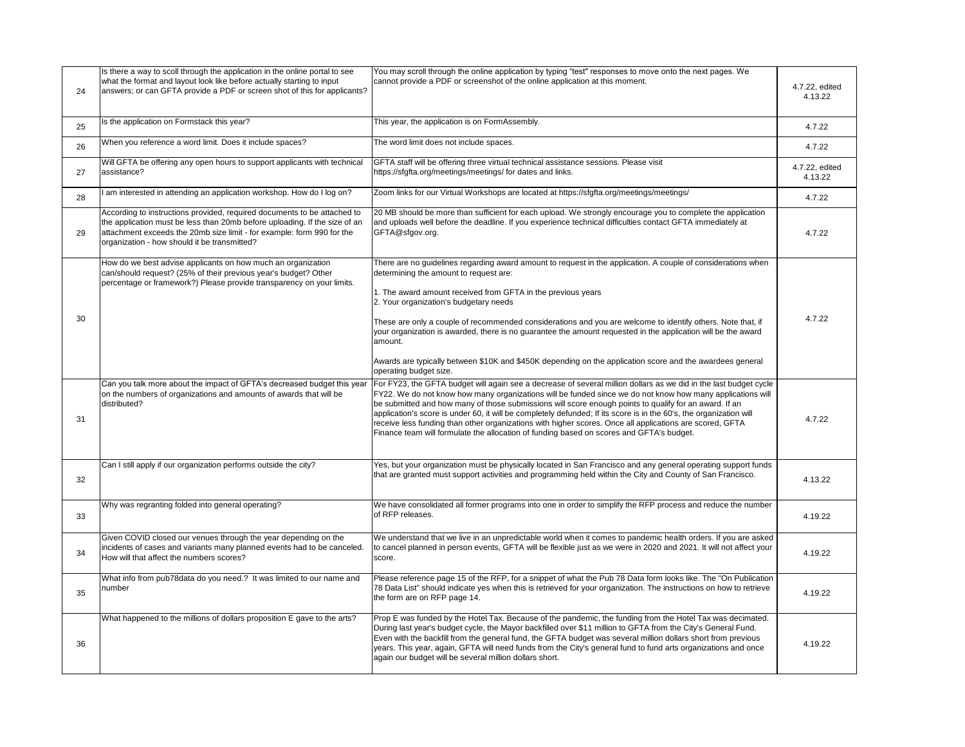| 24 | Is there a way to scoll through the application in the online portal to see<br>what the format and layout look like before actually starting to input<br>answers; or can GFTA provide a PDF or screen shot of this for applicants?                                               | You may scroll through the online application by typing "test" responses to move onto the next pages. We<br>cannot provide a PDF or screenshot of the online application at this moment.                                                                                                                                                                                                                                                                                                                                                                                                                                                                                 | 4.7.22, edited<br>4.13.22 |
|----|----------------------------------------------------------------------------------------------------------------------------------------------------------------------------------------------------------------------------------------------------------------------------------|--------------------------------------------------------------------------------------------------------------------------------------------------------------------------------------------------------------------------------------------------------------------------------------------------------------------------------------------------------------------------------------------------------------------------------------------------------------------------------------------------------------------------------------------------------------------------------------------------------------------------------------------------------------------------|---------------------------|
| 25 | Is the application on Formstack this year?                                                                                                                                                                                                                                       | This year, the application is on FormAssembly.                                                                                                                                                                                                                                                                                                                                                                                                                                                                                                                                                                                                                           | 4.7.22                    |
| 26 | When you reference a word limit. Does it include spaces?                                                                                                                                                                                                                         | The word limit does not include spaces.                                                                                                                                                                                                                                                                                                                                                                                                                                                                                                                                                                                                                                  | 4.7.22                    |
| 27 | Will GFTA be offering any open hours to support applicants with technical<br>assistance?                                                                                                                                                                                         | GFTA staff will be offering three virtual technical assistance sessions. Please visit<br>https://sfgfta.org/meetings/meetings/ for dates and links.                                                                                                                                                                                                                                                                                                                                                                                                                                                                                                                      | 4.7.22, edited<br>4.13.22 |
| 28 | I am interested in attending an application workshop. How do I log on?                                                                                                                                                                                                           | Zoom links for our Virtual Workshops are located at https://sfgfta.org/meetings/meetings/                                                                                                                                                                                                                                                                                                                                                                                                                                                                                                                                                                                | 4.7.22                    |
| 29 | According to instructions provided, required documents to be attached to<br>the application must be less than 20mb before uploading. If the size of an<br>attachment exceeds the 20mb size limit - for example: form 990 for the<br>organization - how should it be transmitted? | 20 MB should be more than sufficient for each upload. We strongly encourage you to complete the application<br>and uploads well before the deadline. If you experience technical difficulties contact GFTA immediately at<br>GFTA@sfgov.org.                                                                                                                                                                                                                                                                                                                                                                                                                             | 4.7.22                    |
| 30 | How do we best advise applicants on how much an organization<br>can/should request? (25% of their previous year's budget? Other<br>percentage or framework?) Please provide transparency on your limits.                                                                         | There are no guidelines regarding award amount to request in the application. A couple of considerations when<br>determining the amount to request are:<br>1. The award amount received from GFTA in the previous years<br>2. Your organization's budgetary needs<br>These are only a couple of recommended considerations and you are welcome to identify others. Note that, if<br>your organization is awarded, there is no guarantee the amount requested in the application will be the award<br>amount.<br>Awards are typically between \$10K and \$450K depending on the application score and the awardees general<br>operating budget size.                      | 4.7.22                    |
| 31 | Can you talk more about the impact of GFTA's decreased budget this year<br>on the numbers of organizations and amounts of awards that will be<br>distributed?                                                                                                                    | For FY23, the GFTA budget will again see a decrease of several million dollars as we did in the last budget cycle<br>FY22. We do not know how many organizations will be funded since we do not know how many applications will<br>be submitted and how many of those submissions will score enough points to qualify for an award. If an<br>application's score is under 60, it will be completely defunded; If its score is in the 60's, the organization will<br>receive less funding than other organizations with higher scores. Once all applications are scored, GFTA<br>Finance team will formulate the allocation of funding based on scores and GFTA's budget. | 4.7.22                    |
| 32 | Can I still apply if our organization performs outside the city?                                                                                                                                                                                                                 | Yes, but your organization must be physically located in San Francisco and any general operating support funds<br>that are granted must support activities and programming held within the City and County of San Francisco.                                                                                                                                                                                                                                                                                                                                                                                                                                             | 4.13.22                   |
| 33 | Why was regranting folded into general operating?                                                                                                                                                                                                                                | We have consolidated all former programs into one in order to simplify the RFP process and reduce the number<br>of RFP releases.                                                                                                                                                                                                                                                                                                                                                                                                                                                                                                                                         | 4.19.22                   |
| 34 | Given COVID closed our venues through the year depending on the<br>incidents of cases and variants many planned events had to be canceled.<br>How will that affect the numbers scores?                                                                                           | We understand that we live in an unpredictable world when it comes to pandemic health orders. If you are asked<br>to cancel planned in person events, GFTA will be flexible just as we were in 2020 and 2021. It will not affect your<br>score.                                                                                                                                                                                                                                                                                                                                                                                                                          | 4.19.22                   |
| 35 | What info from pub78data do you need.? It was limited to our name and<br>number                                                                                                                                                                                                  | Please reference page 15 of the RFP, for a snippet of what the Pub 78 Data form looks like. The "On Publication<br>78 Data List" should indicate yes when this is retrieved for your organization. The instructions on how to retrieve<br>the form are on RFP page 14.                                                                                                                                                                                                                                                                                                                                                                                                   | 4.19.22                   |
| 36 | What happened to the millions of dollars proposition E gave to the arts?                                                                                                                                                                                                         | Prop E was funded by the Hotel Tax. Because of the pandemic, the funding from the Hotel Tax was decimated.<br>During last year's budget cycle, the Mayor backfilled over \$11 million to GFTA from the City's General Fund.<br>Even with the backfill from the general fund, the GFTA budget was several million dollars short from previous<br>years. This year, again, GFTA will need funds from the City's general fund to fund arts organizations and once<br>again our budget will be several million dollars short.                                                                                                                                                | 4.19.22                   |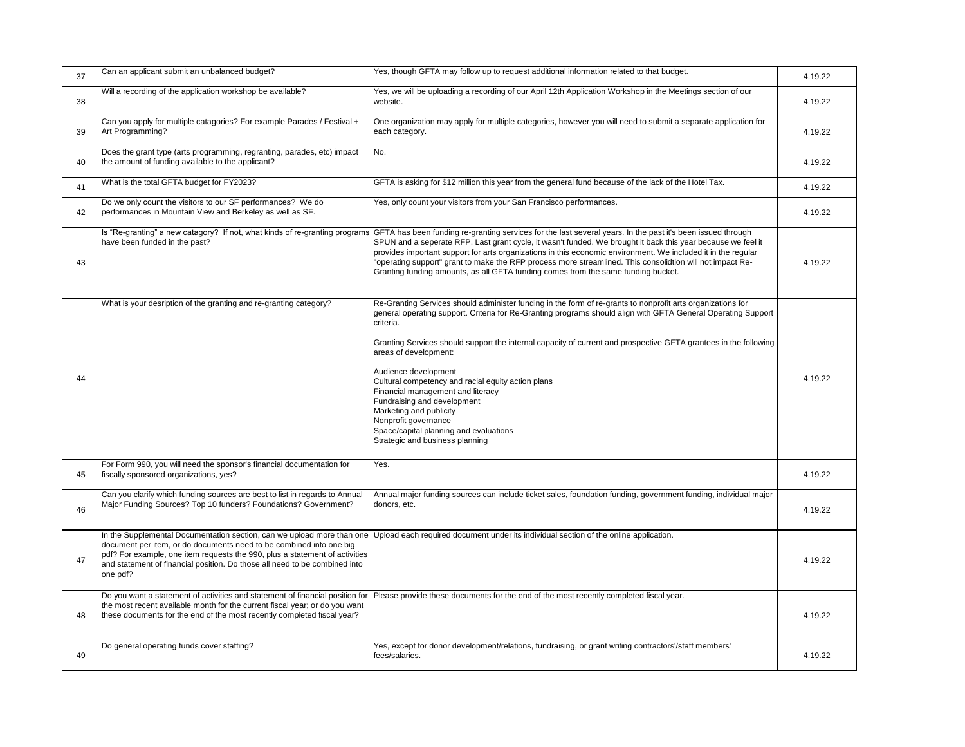| 37 | Can an applicant submit an unbalanced budget?                                                                                                                                                                                                                                                                          | Yes, though GFTA may follow up to request additional information related to that budget.                                                                                                                                                                                                                                                                                                                                                                                                                                                                                                                                                                                 | 4.19.22 |
|----|------------------------------------------------------------------------------------------------------------------------------------------------------------------------------------------------------------------------------------------------------------------------------------------------------------------------|--------------------------------------------------------------------------------------------------------------------------------------------------------------------------------------------------------------------------------------------------------------------------------------------------------------------------------------------------------------------------------------------------------------------------------------------------------------------------------------------------------------------------------------------------------------------------------------------------------------------------------------------------------------------------|---------|
| 38 | Will a recording of the application workshop be available?                                                                                                                                                                                                                                                             | Yes, we will be uploading a recording of our April 12th Application Workshop in the Meetings section of our<br>website.                                                                                                                                                                                                                                                                                                                                                                                                                                                                                                                                                  | 4.19.22 |
| 39 | Can you apply for multiple catagories? For example Parades / Festival +<br>Art Programming?                                                                                                                                                                                                                            | One organization may apply for multiple categories, however you will need to submit a separate application for<br>each category.                                                                                                                                                                                                                                                                                                                                                                                                                                                                                                                                         | 4.19.22 |
| 40 | Does the grant type (arts programming, regranting, parades, etc) impact<br>the amount of funding available to the applicant?                                                                                                                                                                                           | No.                                                                                                                                                                                                                                                                                                                                                                                                                                                                                                                                                                                                                                                                      | 4.19.22 |
| 41 | What is the total GFTA budget for FY2023?                                                                                                                                                                                                                                                                              | GFTA is asking for \$12 million this year from the general fund because of the lack of the Hotel Tax.                                                                                                                                                                                                                                                                                                                                                                                                                                                                                                                                                                    | 4.19.22 |
| 42 | Do we only count the visitors to our SF performances? We do<br>performances in Mountain View and Berkeley as well as SF.                                                                                                                                                                                               | Yes, only count your visitors from your San Francisco performances.                                                                                                                                                                                                                                                                                                                                                                                                                                                                                                                                                                                                      | 4.19.22 |
| 43 | Is "Re-granting" a new catagory? If not, what kinds of re-granting programs<br>have been funded in the past?                                                                                                                                                                                                           | GFTA has been funding re-granting services for the last several years. In the past it's been issued through<br>SPUN and a seperate RFP. Last grant cycle, it wasn't funded. We brought it back this year because we feel it<br>provides important support for arts organizations in this economic environment. We included it in the regular<br>'operating support" grant to make the RFP process more streamlined. This consolidtion will not impact Re-<br>Granting funding amounts, as all GFTA funding comes from the same funding bucket.                                                                                                                           | 4.19.22 |
| 44 | What is your desription of the granting and re-granting category?                                                                                                                                                                                                                                                      | Re-Granting Services should administer funding in the form of re-grants to nonprofit arts organizations for<br>general operating support. Criteria for Re-Granting programs should align with GFTA General Operating Support<br>criteria.<br>Granting Services should support the internal capacity of current and prospective GFTA grantees in the following<br>areas of development:<br>Audience development<br>Cultural competency and racial equity action plans<br>Financial management and literacy<br>Fundraising and development<br>Marketing and publicity<br>Nonprofit governance<br>Space/capital planning and evaluations<br>Strategic and business planning | 4.19.22 |
| 45 | For Form 990, you will need the sponsor's financial documentation for<br>fiscally sponsored organizations, yes?                                                                                                                                                                                                        | Yes.                                                                                                                                                                                                                                                                                                                                                                                                                                                                                                                                                                                                                                                                     | 4.19.22 |
| 46 | Can you clarify which funding sources are best to list in regards to Annual<br>Major Funding Sources? Top 10 funders? Foundations? Government?                                                                                                                                                                         | Annual major funding sources can include ticket sales, foundation funding, government funding, individual major<br>donors, etc.                                                                                                                                                                                                                                                                                                                                                                                                                                                                                                                                          | 4.19.22 |
| 47 | In the Supplemental Documentation section, can we upload more than one<br>document per item, or do documents need to be combined into one big<br>pdf? For example, one item requests the 990, plus a statement of activities<br>and statement of financial position. Do those all need to be combined into<br>one pdf? | Upload each required document under its individual section of the online application.                                                                                                                                                                                                                                                                                                                                                                                                                                                                                                                                                                                    | 4.19.22 |
| 48 | Do you want a statement of activities and statement of financial position for<br>the most recent available month for the current fiscal year; or do you want<br>these documents for the end of the most recently completed fiscal year?                                                                                | Please provide these documents for the end of the most recently completed fiscal year.                                                                                                                                                                                                                                                                                                                                                                                                                                                                                                                                                                                   | 4.19.22 |
| 49 | Do general operating funds cover staffing?                                                                                                                                                                                                                                                                             | Yes, except for donor development/relations, fundraising, or grant writing contractors'/staff members'<br>fees/salaries.                                                                                                                                                                                                                                                                                                                                                                                                                                                                                                                                                 | 4.19.22 |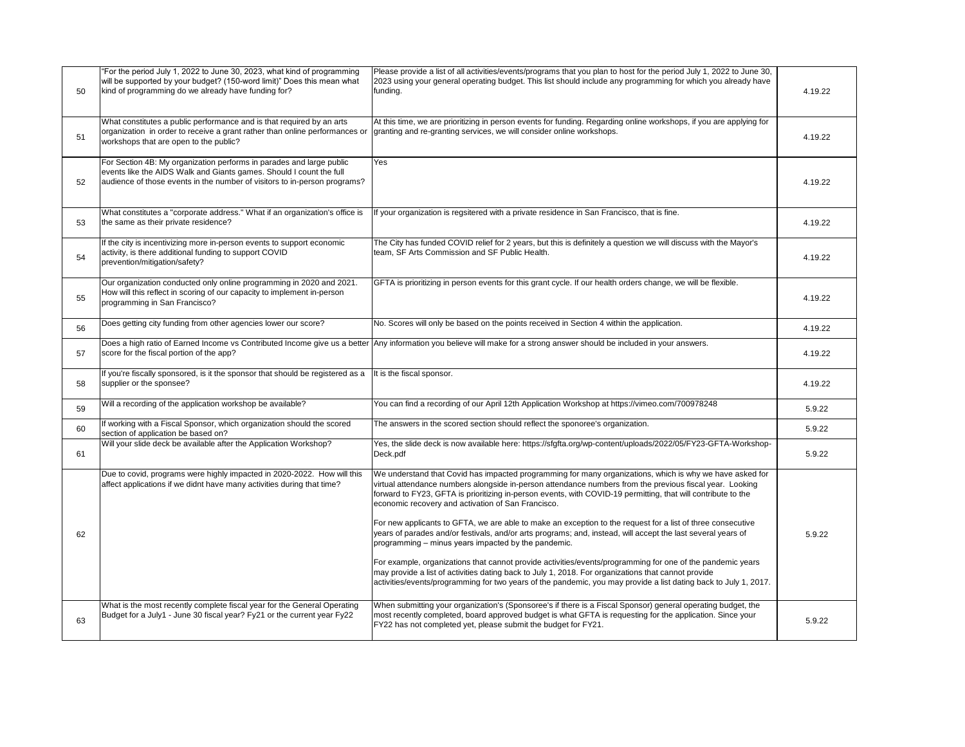| 50 | "For the period July 1, 2022 to June 30, 2023, what kind of programming<br>will be supported by your budget? (150-word limit)" Does this mean what<br>kind of programming do we already have funding for?                | Please provide a list of all activities/events/programs that you plan to host for the period July 1, 2022 to June 30,<br>2023 using your general operating budget. This list should include any programming for which you already have<br>funding.                                                                                                                                                                                                                                                                                                                                                                                                                                | 4.19.22 |
|----|--------------------------------------------------------------------------------------------------------------------------------------------------------------------------------------------------------------------------|-----------------------------------------------------------------------------------------------------------------------------------------------------------------------------------------------------------------------------------------------------------------------------------------------------------------------------------------------------------------------------------------------------------------------------------------------------------------------------------------------------------------------------------------------------------------------------------------------------------------------------------------------------------------------------------|---------|
| 51 | What constitutes a public performance and is that required by an arts<br>organization in order to receive a grant rather than online performances or<br>workshops that are open to the public?                           | At this time, we are prioritizing in person events for funding. Regarding online workshops, if you are applying for<br>granting and re-granting services, we will consider online workshops.                                                                                                                                                                                                                                                                                                                                                                                                                                                                                      | 4.19.22 |
| 52 | For Section 4B: My organization performs in parades and large public<br>events like the AIDS Walk and Giants games. Should I count the full<br>audience of those events in the number of visitors to in-person programs? | Yes                                                                                                                                                                                                                                                                                                                                                                                                                                                                                                                                                                                                                                                                               | 4.19.22 |
| 53 | What constitutes a "corporate address." What if an organization's office is<br>the same as their private residence?                                                                                                      | If your organization is regsitered with a private residence in San Francisco, that is fine.                                                                                                                                                                                                                                                                                                                                                                                                                                                                                                                                                                                       | 4.19.22 |
| 54 | If the city is incentivizing more in-person events to support economic<br>activity, is there additional funding to support COVID<br>prevention/mitigation/safety?                                                        | The City has funded COVID relief for 2 years, but this is definitely a question we will discuss with the Mayor's<br>team, SF Arts Commission and SF Public Health.                                                                                                                                                                                                                                                                                                                                                                                                                                                                                                                | 4.19.22 |
| 55 | Our organization conducted only online programming in 2020 and 2021.<br>How will this reflect in scoring of our capacity to implement in-person<br>programming in San Francisco?                                         | GFTA is prioritizing in person events for this grant cycle. If our health orders change, we will be flexible.                                                                                                                                                                                                                                                                                                                                                                                                                                                                                                                                                                     | 4.19.22 |
| 56 | Does getting city funding from other agencies lower our score?                                                                                                                                                           | No. Scores will only be based on the points received in Section 4 within the application.                                                                                                                                                                                                                                                                                                                                                                                                                                                                                                                                                                                         | 4.19.22 |
| 57 | Does a high ratio of Earned Income vs Contributed Income give us a better<br>score for the fiscal portion of the app?                                                                                                    | Any information you believe will make for a strong answer should be included in your answers.                                                                                                                                                                                                                                                                                                                                                                                                                                                                                                                                                                                     | 4.19.22 |
| 58 | If you're fiscally sponsored, is it the sponsor that should be registered as a<br>supplier or the sponsee?                                                                                                               | It is the fiscal sponsor.                                                                                                                                                                                                                                                                                                                                                                                                                                                                                                                                                                                                                                                         | 4.19.22 |
| 59 | Will a recording of the application workshop be available?                                                                                                                                                               | You can find a recording of our April 12th Application Workshop at https://vimeo.com/700978248                                                                                                                                                                                                                                                                                                                                                                                                                                                                                                                                                                                    | 5.9.22  |
| 60 | If working with a Fiscal Sponsor, which organization should the scored<br>section of application be based on?                                                                                                            | The answers in the scored section should reflect the sponoree's organization.                                                                                                                                                                                                                                                                                                                                                                                                                                                                                                                                                                                                     | 5.9.22  |
| 61 | Will your slide deck be available after the Application Workshop?                                                                                                                                                        | Yes, the slide deck is now available here: https://sfgfta.org/wp-content/uploads/2022/05/FY23-GFTA-Workshop-<br>Deck.pdf                                                                                                                                                                                                                                                                                                                                                                                                                                                                                                                                                          | 5.9.22  |
| 62 | Due to covid, programs were highly impacted in 2020-2022. How will this<br>affect applications if we didnt have many activities during that time?                                                                        | We understand that Covid has impacted programming for many organizations, which is why we have asked for<br>virtual attendance numbers alongside in-person attendance numbers from the previous fiscal year. Looking<br>forward to FY23, GFTA is prioritizing in-person events, with COVID-19 permitting, that will contribute to the<br>economic recovery and activation of San Francisco.<br>For new applicants to GFTA, we are able to make an exception to the request for a list of three consecutive<br>years of parades and/or festivals, and/or arts programs; and, instead, will accept the last several years of<br>programming – minus years impacted by the pandemic. | 5.9.22  |
|    |                                                                                                                                                                                                                          | For example, organizations that cannot provide activities/events/programming for one of the pandemic years<br>may provide a list of activities dating back to July 1, 2018. For organizations that cannot provide<br>activities/events/programming for two years of the pandemic, you may provide a list dating back to July 1, 2017.                                                                                                                                                                                                                                                                                                                                             |         |
| 63 | What is the most recently complete fiscal year for the General Operating<br>Budget for a July1 - June 30 fiscal year? Fy21 or the current year Fy22                                                                      | When submitting your organization's (Sponsoree's if there is a Fiscal Sponsor) general operating budget, the<br>most recently completed, board approved budget is what GFTA is requesting for the application. Since your<br>FY22 has not completed yet, please submit the budget for FY21.                                                                                                                                                                                                                                                                                                                                                                                       | 5.9.22  |